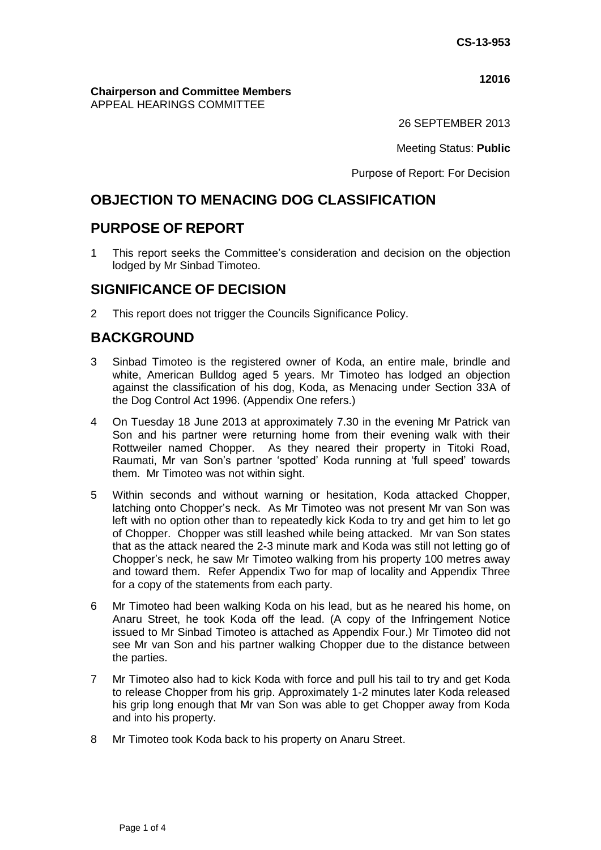**12016**

#### **Chairperson and Committee Members** APPEAL HEARINGS COMMITTEE

26 SEPTEMBER 2013

Meeting Status: **Public**

Purpose of Report: For Decision

# **OBJECTION TO MENACING DOG CLASSIFICATION**

## **PURPOSE OF REPORT**

1 This report seeks the Committee's consideration and decision on the objection lodged by Mr Sinbad Timoteo.

## **SIGNIFICANCE OF DECISION**

2 This report does not trigger the Councils Significance Policy.

## **BACKGROUND**

- 3 Sinbad Timoteo is the registered owner of Koda, an entire male, brindle and white, American Bulldog aged 5 years. Mr Timoteo has lodged an objection against the classification of his dog, Koda, as Menacing under Section 33A of the Dog Control Act 1996. (Appendix One refers.)
- 4 On Tuesday 18 June 2013 at approximately 7.30 in the evening Mr Patrick van Son and his partner were returning home from their evening walk with their Rottweiler named Chopper. As they neared their property in Titoki Road, Raumati, Mr van Son's partner 'spotted' Koda running at 'full speed' towards them. Mr Timoteo was not within sight.
- 5 Within seconds and without warning or hesitation, Koda attacked Chopper, latching onto Chopper's neck. As Mr Timoteo was not present Mr van Son was left with no option other than to repeatedly kick Koda to try and get him to let go of Chopper. Chopper was still leashed while being attacked. Mr van Son states that as the attack neared the 2-3 minute mark and Koda was still not letting go of Chopper's neck, he saw Mr Timoteo walking from his property 100 metres away and toward them. Refer Appendix Two for map of locality and Appendix Three for a copy of the statements from each party.
- 6 Mr Timoteo had been walking Koda on his lead, but as he neared his home, on Anaru Street, he took Koda off the lead. (A copy of the Infringement Notice issued to Mr Sinbad Timoteo is attached as Appendix Four.) Mr Timoteo did not see Mr van Son and his partner walking Chopper due to the distance between the parties.
- 7 Mr Timoteo also had to kick Koda with force and pull his tail to try and get Koda to release Chopper from his grip. Approximately 1-2 minutes later Koda released his grip long enough that Mr van Son was able to get Chopper away from Koda and into his property.
- 8 Mr Timoteo took Koda back to his property on Anaru Street.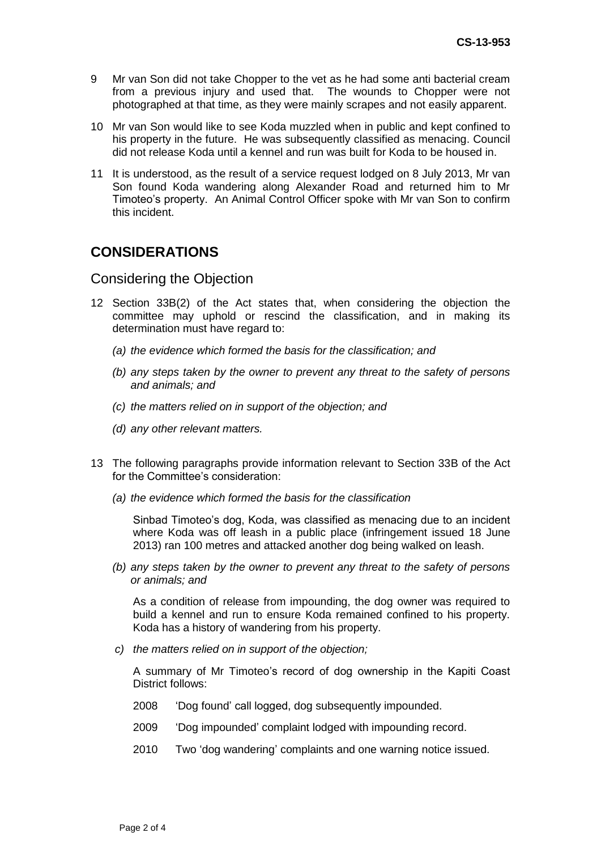- 9 Mr van Son did not take Chopper to the vet as he had some anti bacterial cream from a previous injury and used that. The wounds to Chopper were not photographed at that time, as they were mainly scrapes and not easily apparent.
- 10 Mr van Son would like to see Koda muzzled when in public and kept confined to his property in the future. He was subsequently classified as menacing. Council did not release Koda until a kennel and run was built for Koda to be housed in.
- 11 It is understood, as the result of a service request lodged on 8 July 2013, Mr van Son found Koda wandering along Alexander Road and returned him to Mr Timoteo's property. An Animal Control Officer spoke with Mr van Son to confirm this incident.

# **CONSIDERATIONS**

Considering the Objection

- 12 Section 33B(2) of the Act states that, when considering the objection the committee may uphold or rescind the classification, and in making its determination must have regard to:
	- *(a) the evidence which formed the basis for the classification; and*
	- *(b) any steps taken by the owner to prevent any threat to the safety of persons and animals; and*
	- *(c) the matters relied on in support of the objection; and*
	- *(d) any other relevant matters.*
- 13 The following paragraphs provide information relevant to Section 33B of the Act for the Committee's consideration:
	- *(a) the evidence which formed the basis for the classification*

Sinbad Timoteo's dog, Koda, was classified as menacing due to an incident where Koda was off leash in a public place (infringement issued 18 June 2013) ran 100 metres and attacked another dog being walked on leash.

*(b) any steps taken by the owner to prevent any threat to the safety of persons or animals; and*

As a condition of release from impounding, the dog owner was required to build a kennel and run to ensure Koda remained confined to his property. Koda has a history of wandering from his property.

*c) the matters relied on in support of the objection;*

A summary of Mr Timoteo's record of dog ownership in the Kapiti Coast District follows:

- 2008 'Dog found' call logged, dog subsequently impounded.
- 2009 'Dog impounded' complaint lodged with impounding record.
- 2010 Two 'dog wandering' complaints and one warning notice issued.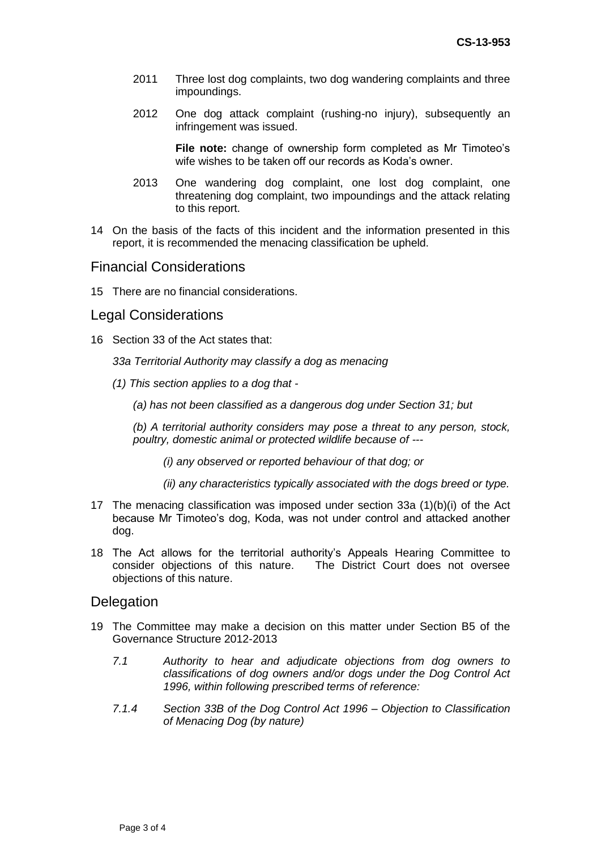- 2011 Three lost dog complaints, two dog wandering complaints and three impoundings.
- 2012 One dog attack complaint (rushing-no injury), subsequently an infringement was issued.

**File note:** change of ownership form completed as Mr Timoteo's wife wishes to be taken off our records as Koda's owner.

- 2013 One wandering dog complaint, one lost dog complaint, one threatening dog complaint, two impoundings and the attack relating to this report.
- 14 On the basis of the facts of this incident and the information presented in this report, it is recommended the menacing classification be upheld.

### Financial Considerations

15 There are no financial considerations.

#### Legal Considerations

16 Section 33 of the Act states that:

*33a Territorial Authority may classify a dog as menacing*

*(1) This section applies to a dog that -*

*(a) has not been classified as a dangerous dog under Section 31; but*

*(b) A territorial authority considers may pose a threat to any person, stock, poultry, domestic animal or protected wildlife because of ---*

*(i) any observed or reported behaviour of that dog; or*

*(ii) any characteristics typically associated with the dogs breed or type.*

- 17 The menacing classification was imposed under section 33a (1)(b)(i) of the Act because Mr Timoteo's dog, Koda, was not under control and attacked another dog.
- 18 The Act allows for the territorial authority's Appeals Hearing Committee to consider objections of this nature. The District Court does not oversee objections of this nature.

#### **Delegation**

- 19 The Committee may make a decision on this matter under Section B5 of the Governance Structure 2012-2013
	- *7.1 Authority to hear and adjudicate objections from dog owners to classifications of dog owners and/or dogs under the Dog Control Act 1996, within following prescribed terms of reference:*
	- *7.1.4 Section 33B of the Dog Control Act 1996 – Objection to Classification of Menacing Dog (by nature)*